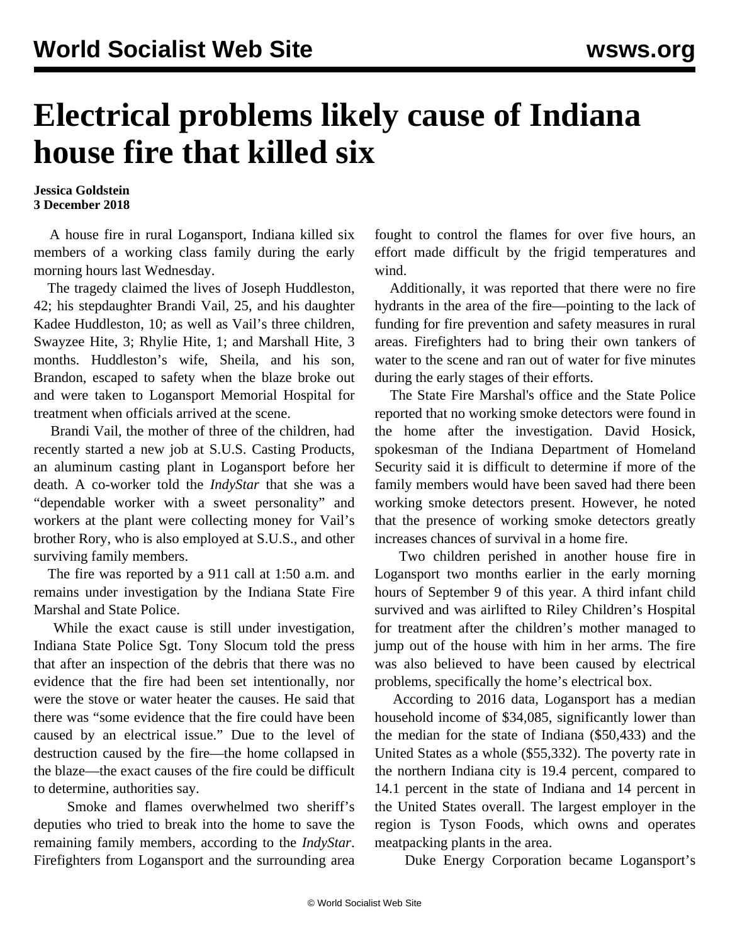## **Electrical problems likely cause of Indiana house fire that killed six**

## **Jessica Goldstein 3 December 2018**

 A house fire in rural Logansport, Indiana killed six members of a working class family during the early morning hours last Wednesday.

 The tragedy claimed the lives of Joseph Huddleston, 42; his stepdaughter Brandi Vail, 25, and his daughter Kadee Huddleston, 10; as well as Vail's three children, Swayzee Hite, 3; Rhylie Hite, 1; and Marshall Hite, 3 months. Huddleston's wife, Sheila, and his son, Brandon, escaped to safety when the blaze broke out and were taken to Logansport Memorial Hospital for treatment when officials arrived at the scene.

 Brandi Vail, the mother of three of the children, had recently started a new job at S.U.S. Casting Products, an aluminum casting plant in Logansport before her death. A co-worker told the *IndyStar* that she was a "dependable worker with a sweet personality" and workers at the plant were collecting money for Vail's brother Rory, who is also employed at S.U.S., and other surviving family members.

 The fire was reported by a 911 call at 1:50 a.m. and remains under investigation by the Indiana State Fire Marshal and State Police.

 While the exact cause is still under investigation, Indiana State Police Sgt. Tony Slocum told the press that after an inspection of the debris that there was no evidence that the fire had been set intentionally, nor were the stove or water heater the causes. He said that there was "some evidence that the fire could have been caused by an electrical issue." Due to the level of destruction caused by the fire—the home collapsed in the blaze—the exact causes of the fire could be difficult to determine, authorities say.

 Smoke and flames overwhelmed two sheriff's deputies who tried to break into the home to save the remaining family members, according to the *IndyStar*. Firefighters from Logansport and the surrounding area fought to control the flames for over five hours, an effort made difficult by the frigid temperatures and wind.

 Additionally, it was reported that there were no fire hydrants in the area of the fire—pointing to the lack of funding for fire prevention and safety measures in rural areas. Firefighters had to bring their own tankers of water to the scene and ran out of water for five minutes during the early stages of their efforts.

 The State Fire Marshal's office and the State Police reported that no working smoke detectors were found in the home after the investigation. David Hosick, spokesman of the Indiana Department of Homeland Security said it is difficult to determine if more of the family members would have been saved had there been working smoke detectors present. However, he noted that the presence of working smoke detectors greatly increases chances of survival in a home fire.

 Two children perished in another house fire in Logansport two months earlier in the early morning hours of September 9 of this year. A third infant child survived and was airlifted to Riley Children's Hospital for treatment after the children's mother managed to jump out of the house with him in her arms. The fire was also believed to have been caused by electrical problems, specifically the home's electrical box.

 According to 2016 data, Logansport has a median household income of \$34,085, significantly lower than the median for the state of Indiana (\$50,433) and the United States as a whole (\$55,332). The poverty rate in the northern Indiana city is 19.4 percent, compared to 14.1 percent in the state of Indiana and 14 percent in the United States overall. The largest employer in the region is Tyson Foods, which owns and operates meatpacking plants in the area.

Duke Energy Corporation became Logansport's